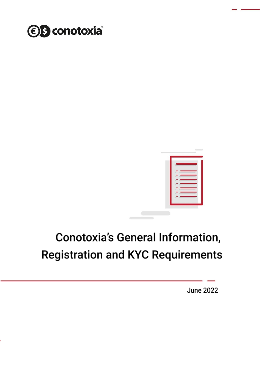



# **Conotoxia's General Information, Registration and KYC Requirements**

**June 2022**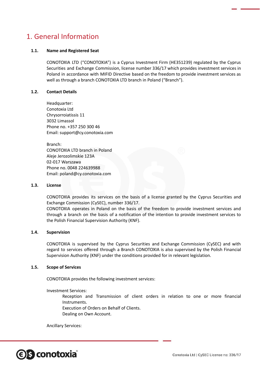## 1. General Information

#### **1.1. Name and Registered Seat**

CONOTOXIA LTD ("CONOTOXIA") is a Cyprus Investment Firm (HE351239) regulated by the Cyprus Securities and Exchange Commission, license number 336/17 which provides investment services in Poland in accordance with MIFID Directive based on the freedom to provide investment services as well as through a branch CONOTOXIA LTD branch in Poland ("Branch").

#### **1.2. Contact Details**

Headquarter: Conotoxia Ltd Chrysorroiatissis 11 3032 Limassol Phone no. +357 250 300 46 Email: support@cy.conotoxia.com

Branch: CONOTOXIA LTD branch in Poland Aleje Jerozolimskie 123A 02-017 Warszawa Phone no. 0048 224639988 Email: poland@cy.conotoxia.com

#### **1.3. License**

CONOTOXIA provides its services on the basis of a license granted by the Cyprus Securities and Exchange Commission (CySEC), number 336/17.

CONOTOXIA operates in Poland on the basis of the freedom to provide investment services and through a branch on the basis of a notification of the intention to provide investment services to the Polish Financial Supervision Authority (KNF).

#### **1.4. Supervision**

CONOTOXIA is supervised by the Cyprus Securities and Exchange Commission (CySEC) and with regard to services offered through a Branch CONOTOXIA is also supervised by the Polish Financial Supervision Authority (KNF) under the conditions provided for in relevant legislation.

#### **1.5. Scope of Services**

CONOTOXIA provides the following investment services:

Investment Services:

Reception and Transmission of client orders in relation to one or more financial Instruments.

Execution of Orders on Behalf of Clients. Dealing on Own Account.

Ancillary Services:

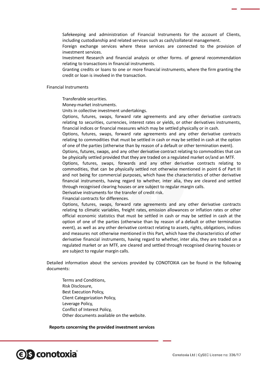Safekeeping and administration of Financial Instruments for the account of Clients, including custodianship and related services such as cash/collateral management.

Foreign exchange services where these services are connected to the provision of investment services.

- Investment Research and financial analysis or other forms. of general recommendation relating to transactions in financial instruments.
- Granting credits or loans to one or more financial instruments, where the firm granting the credit or loan is involved in the transaction.

Financial Instruments

Transferable securities.

Money-market instruments.

Units in collective investment undertakings.

Options, futures, swaps, forward rate agreements and any other derivative contracts relating to securities, currencies, interest rates or yields, or other derivatives instruments, financial indices or financial measures which may be settled physically or in cash.

Options, futures, swaps, forward rate agreements and any other derivative contracts relating to commodities that must be settled in cash or may be settled in cash at the option of one of the parties (otherwise than by reason of a default or other termination event).

Options, futures, swaps, and any other derivative contract relating to commodities that can be physically settled provided that they are traded on a regulated market or/and an MTF.

Options, futures, swaps, forwards and any other derivative contracts relating to commodities, that can be physically settled not otherwise mentioned in point 6 of Part III and not being for commercial purposes, which have the characteristics of other derivative financial instruments, having regard to whether, inter alia, they are cleared and settled through recognised clearing houses or are subject to regular margin calls.

Derivative instruments for the transfer of credit risk.

Financial contracts for differences.

Options, futures, swaps, forward rate agreements and any other derivative contracts relating to climatic variables, freight rates, emission allowances or inflation rates or other official economic statistics that must be settled in cash or may be settled in cash at the option of one of the parties (otherwise than by reason of a default or other termination event), as well as any other derivative contract relating to assets, rights, obligations, indices and measures not otherwise mentioned in this Part, which have the characteristics of other derivative financial instruments, having regard to whether, inter alia, they are traded on a regulated market or an MTF, are cleared and settled through recognised clearing houses or are subject to regular margin calls.

Detailed information about the services provided by CONOTOXIA can be found in the following documents:

Terms and Conditions, Risk Disclosure, Best Execution Policy, Client Categorization Policy, Leverage Policy, Conflict of Interest Policy, Other documents available on the website.

#### **Reports concerning the provided investment services**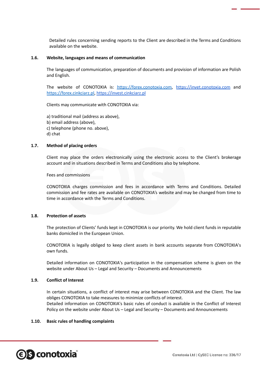Detailed rules concerning sending reports to the Client are described in the Terms and Conditions available on the website.

#### **1.6. Website, languages and means of communication**

The languages of communication, preparation of documents and provision of information are Polish and English.

The website of CONOTOXIA is: [https://forex.conotoxia.com,](https://forex.conotoxia.com) <https://invet.conotoxia.com> and <https://forex.cinkciarz.pl>, <https://invest.cinkciarz.pl>

Clients may communicate with CONOTOXIA via:

a) traditional mail (address as above), b) email address (above), c) telephone (phone no. above), d) chat

#### **1.7. Method of placing orders**

Client may place the orders electronically using the electronic access to the Client's brokerage account and in situations described in Terms and Conditions also by telephone.

Fees and commissions

CONOTOXIA charges commission and fees in accordance with Terms and Conditions. Detailed commission and fee rates are available on CONOTOXIA's website and may be changed from time to time in accordance with the Terms and Conditions.

#### **1.8. Protection of assets**

The protection of Clients' funds kept in CONOTOXIA is our priority. We hold client funds in reputable banks domiciled in the European Union.

CONOTOXIA is legally obliged to keep client assets in bank accounts separate from CONOTOXIA's own funds.

Detailed information on CONOTOXIA's participation in the compensation scheme is given on the website under About Us – Legal and Security – Documents and Announcements

#### **1.9. Conflict of Interest**

In certain situations, a conflict of interest may arise between CONOTOXIA and the Client. The law obliges CONOTOXIA to take measures to minimize conflicts of interest. Detailed information on CONOTOXIA's basic rules of conduct is available in the Conflict of Interest Policy on the website under About Us – Legal and Security – Documents and Announcements

#### **1.10. Basic rules of handling complaints**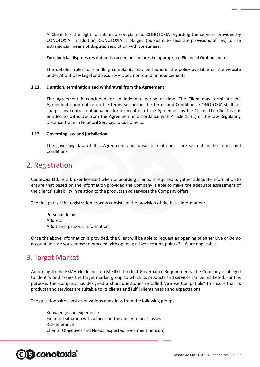A Client has the right to submit a complaint to CONOTOXIA regarding the services provided by CONOTOXIA. In addition, CONOTOXIA is obliged (pursuant to separate provisions of law) to use extrajudicial means of disputes resolution with consumers.

Extrajudicial disputes resolution is carried out before the appropriate Financial Ombudsman.

The detailed rules for handling complaints may be found in the policy available on the website under About Us – Legal and Security – Documents and Announcements

#### **1.11. Duration, termination and withdrawal from the Agreement**

The Agreement is concluded for an indefinite period of time. The Client may terminate the Agreement upon notice on the terms set out in the Terms and Conditions. CONOTOXIA shall not charge any contractual penalties for termination of the Agreement by the Client. The Client is not entitled to withdraw from the Agreement in accordance with Article 10 (1) of the Law Regulating Distance Trade in Financial Services to Customers..

#### **1.12. Governing law and jurisdiction**

The governing law of this Agreement and jurisdiction of courts are set out in the Terms and Conditions.

### 2. Registration

Conotoxia Ltd. as a broker licensed when onboarding clients, is required to gather adequate information to ensure that based on the information provided the Company is able to make the adequate assessment of the clients' suitability in relation to the products and services the Company offers.

The first part of the registration process consists of the provision of the basic information:

Personal details Address Additional personal information

Once the above information is provided, the Client will be able to request an opening of either Live or Demo account. In case you choose to proceed with opening a Live account, points 3 – 6 are applicable.

## 3. Target Market

According to the ESMA Guidelines on MiFID II Product Governance Requirements, the Company is obliged to identify and assess the target market group to which its products and services can be marketed. For this purpose, the Company has designed a short questionnaire called "Are we Compatible" to ensure that its products and services are suitable to its clients and fulfil clients needs and expectations.

The questionnaire consists of various questions from the following groups:

Knowledge and experience Financial situation with a focus on the ability to bear losses Risk tolerance Clients' Objectives and Needs (expected investment horizon)

## s conotoxia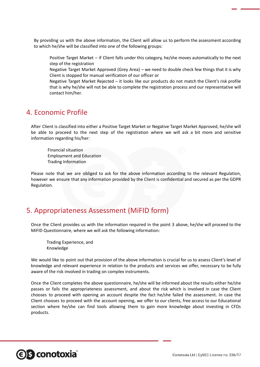By providing us with the above information, the Client will allow us to perform the assessment according to which he/she will be classified into one of the following groups:

Positive Target Market – if Client falls under this category, he/she moves automatically to the next step of the registration

Negative Target Market Approved (Grey Area) – we need to double check few things that it is why Client is stopped for manual verification of our officer or

Negative Target Market Rejected – it looks like our products do not match the Client's risk profile that is why he/she will not be able to complete the registration process and our representative will contact him/her.

## 4. Economic Profile

After Client is classified into either a Positive Target Market or Negative Target Market Approved, he/she will be able to proceed to the next step of the registration where we will ask a bit more and sensitive information regarding his/her:

Financial situation Employment and Education Trading Information

Please note that we are obliged to ask for the above information according to the relevant Regulation, however we ensure that any information provided by the Client is confidential and secured as per the GDPR Regulation.

## 5. Appropriateness Assessment (MiFID form)

Once the Client provides us with the information required in the point 3 above, he/she will proceed to the MiFID Questionnaire, where we will ask the following information:

Trading Experience, and Knowledge

We would like to point out that provision of the above information is crucial for us to assess Client's level of knowledge and relevant experience in relation to the products and services we offer, necessary to be fully aware of the risk involved in trading on complex instruments.

Once the Client completes the above questionnaire, he/she will be informed about the results either he/she passes or fails the appropriateness assessment, and about the risk which is involved in case the Client chooses to proceed with opening an account despite the fact he/she failed the assessment. In case the Client chooses to proceed with the account opening, we offer to our clients, free access to our Educational section where he/she can find tools allowing them to gain more knowledge about investing in CFDs products.

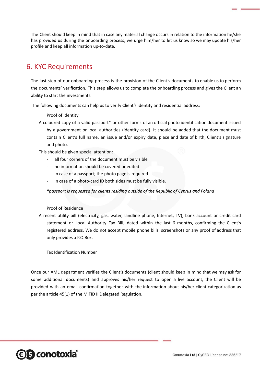The Client should keep in mind that in case any material change occurs in relation to the information he/she has provided us during the onboarding process, we urge him/her to let us know so we may update his/her profile and keep all information up-to-date.

## 6. KYC Requirements

The last step of our onboarding process is the provision of the Client's documents to enable us to perform the documents' verification. This step allows us to complete the onboarding process and gives the Client an ability to start the investments.

The following documents can help us to verify Client's identity and residential address:

#### Proof of Identity

A coloured copy of a valid passport\* or other forms of an official photo identification document issued by a government or local authorities (identity card). It should be added that the document must contain Client's full name, an issue and/or expiry date, place and date of birth, Client's signature and photo.

This should be given special attention:

- all four corners of the document must be visible
- no information should be covered or edited
- in case of a passport; the photo page is required
- in case of a photo-card ID both sides must be fully visible.

*\*passport is requested for clients residing outside of the Republic of Cyprus and Poland*

#### Proof of Residence

A recent utility bill (electricity, gas, water, landline phone, Internet, TV), bank account or credit card statement or Local Authority Tax Bill, dated within the last 6 months, confirming the Client's registered address. We do not accept mobile phone bills, screenshots or any proof of address that only provides a P.O.Box.

Tax Identification Number

Once our AML department verifies the Client's documents (client should keep in mind that we may ask for some additional documents) and approves his/her request to open a live account, the Client will be provided with an email confirmation together with the information about his/her client categorization as per the article 45(1) of the MiFID II Delegated Regulation.